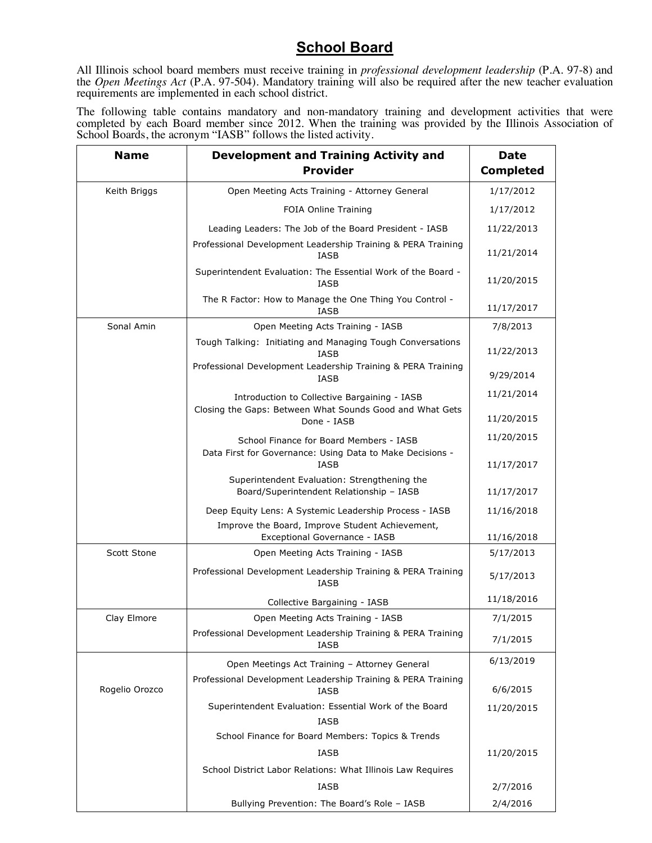## **School Board**

All Illinois school board members must receive training in *professional development leadership* (P.A. 97-8) and the *Open Meetings Act* (P.A. 97-504). Mandatory training will also be required after the new teacher evaluation requirements are implemented in each school district.

The following table contains mandatory and non-mandatory training and development activities that were completed by each Board member since 2012. When the training was provided by the Illinois Association of School Boards, the acronym "IASB" follows the listed activity.

| <b>Name</b>    | <b>Development and Training Activity and</b><br><b>Provider</b>                                              | <b>Date</b><br><b>Completed</b> |
|----------------|--------------------------------------------------------------------------------------------------------------|---------------------------------|
| Keith Briggs   | Open Meeting Acts Training - Attorney General                                                                | 1/17/2012                       |
|                | FOIA Online Training                                                                                         | 1/17/2012                       |
|                | Leading Leaders: The Job of the Board President - IASB                                                       | 11/22/2013                      |
|                | Professional Development Leadership Training & PERA Training<br>IASB                                         | 11/21/2014                      |
|                | Superintendent Evaluation: The Essential Work of the Board -<br>IASB                                         | 11/20/2015                      |
|                | The R Factor: How to Manage the One Thing You Control -<br>IASB                                              | 11/17/2017                      |
| Sonal Amin     | Open Meeting Acts Training - IASB                                                                            | 7/8/2013                        |
|                | Tough Talking: Initiating and Managing Tough Conversations<br>IASB                                           | 11/22/2013                      |
|                | Professional Development Leadership Training & PERA Training<br>IASB                                         | 9/29/2014                       |
|                | Introduction to Collective Bargaining - IASB                                                                 | 11/21/2014                      |
|                | Closing the Gaps: Between What Sounds Good and What Gets<br>Done - IASB                                      | 11/20/2015                      |
|                | School Finance for Board Members - IASB<br>Data First for Governance: Using Data to Make Decisions -<br>IASB | 11/20/2015                      |
|                |                                                                                                              | 11/17/2017                      |
|                | Superintendent Evaluation: Strengthening the<br>Board/Superintendent Relationship - IASB                     | 11/17/2017                      |
|                | Deep Equity Lens: A Systemic Leadership Process - IASB                                                       | 11/16/2018                      |
|                | Improve the Board, Improve Student Achievement,<br>Exceptional Governance - IASB                             | 11/16/2018                      |
| Scott Stone    | Open Meeting Acts Training - IASB                                                                            | 5/17/2013                       |
|                | Professional Development Leadership Training & PERA Training<br>IASB                                         | 5/17/2013                       |
|                | Collective Bargaining - IASB                                                                                 | 11/18/2016                      |
| Clay Elmore    | Open Meeting Acts Training - IASB                                                                            | 7/1/2015                        |
|                | Professional Development Leadership Training & PERA Training<br>IASB                                         | 7/1/2015                        |
| Rogelio Orozco | Open Meetings Act Training - Attorney General                                                                | 6/13/2019                       |
|                | Professional Development Leadership Training & PERA Training<br>IASB                                         | 6/6/2015                        |
|                | Superintendent Evaluation: Essential Work of the Board<br>IASB                                               | 11/20/2015                      |
|                | School Finance for Board Members: Topics & Trends                                                            |                                 |
|                | IASB                                                                                                         | 11/20/2015                      |
|                | School District Labor Relations: What Illinois Law Requires                                                  |                                 |
|                | <b>IASB</b>                                                                                                  | 2/7/2016                        |
|                | Bullying Prevention: The Board's Role - IASB                                                                 | 2/4/2016                        |